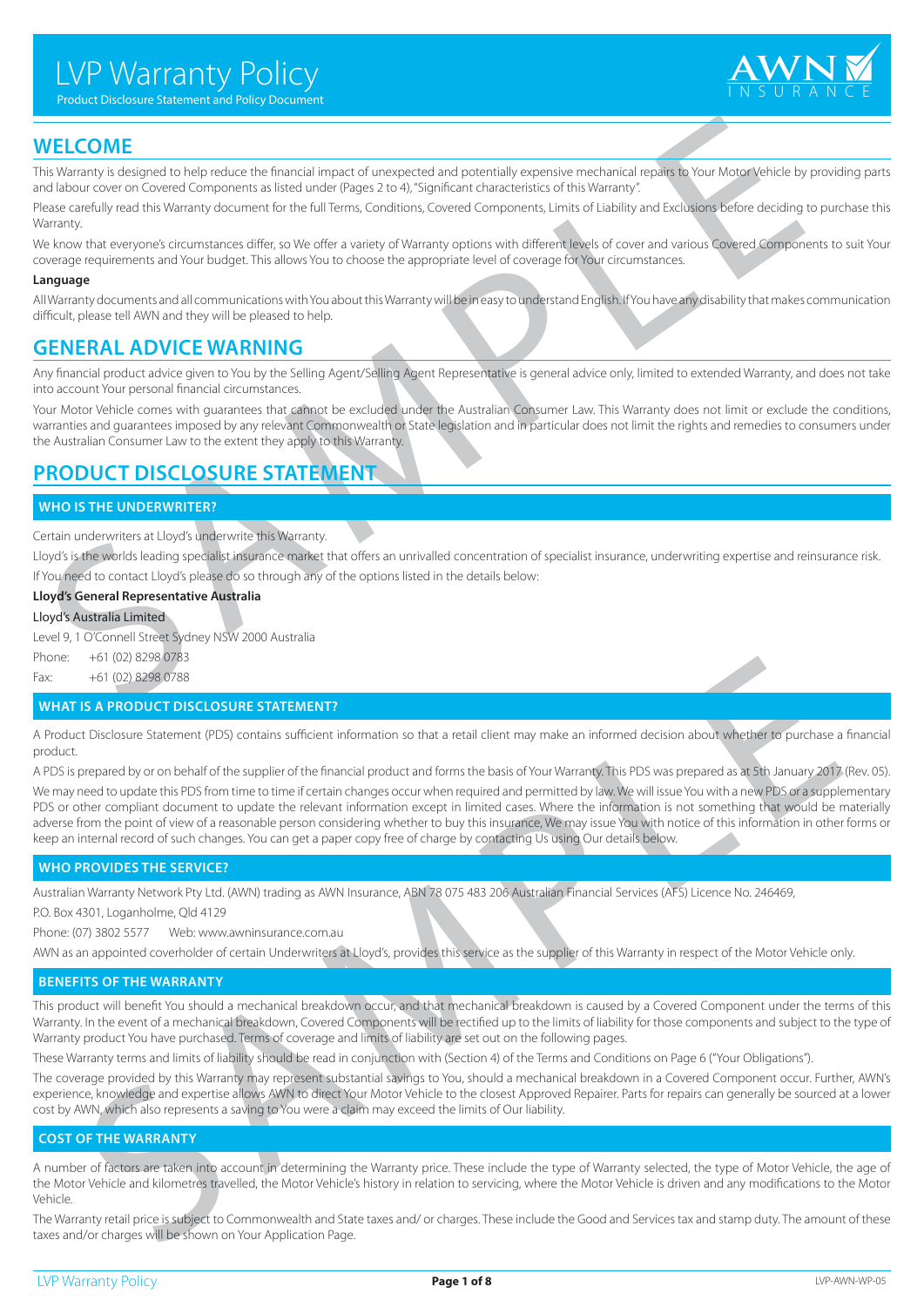# LVP Warranty Policy

Product Disclosure Statement and Policy Document



# **WELCOME**

This Warranty is designed to help reduce the financial impact of unexpected and potentially expensive mechanical repairs to Your Motor Vehicle by providing parts and labour cover on Covered Components as listed under (Pages 2 to 4), "Significant characteristics of this Warranty".

Please carefully read this Warranty document for the full Terms, Conditions, Covered Components, Limits of Liability and Exclusions before deciding to purchase this **Warranty** 

We know that everyone's circumstances differ, so We offer a variety of Warranty options with different levels of cover and various Covered Components to suit Your coverage requirements and Your budget. This allows You to choose the appropriate level of coverage for Your circumstances.

### **Language**

All Warranty documents and all communications with You about this Warranty will be in easy to understand English. If You have any disability that makes communication difficult, please tell AWN and they will be pleased to help.

# **GENERAL ADVICE WARNING**

Any financial product advice given to You by the Selling Agent/Selling Agent Representative is general advice only, limited to extended Warranty, and does not take into account Your personal financial circumstances.

WELCOME<br>In Warning's designed to help neduce the francial impact of unexpected and potensially experime mechanical repairs of Your Motor Vehicle by<br>Interactions of Covered Components as issue uncle (Figure 2 to 4,13)<br>state Your Motor Vehicle comes with guarantees that cannot be excluded under the Australian Consumer Law. This Warranty does not limit or exclude the conditions, warranties and guarantees imposed by any relevant Commonwealth or State legislation and in particular does not limit the rights and remedies to consumers under the Australian Consumer Law to the extent they apply to this Warranty.

# **PRODUCT DISCLOSURE STATEMENT**

# **WHO IS THE UNDERWRITER?**

Certain underwriters at Lloyd's underwrite this Warranty.

Lloyd's is the worlds leading specialist insurance market that offers an unrivalled concentration of specialist insurance, underwriting expertise and reinsurance risk. If You need to contact Lloyd's please do so through any of the options listed in the details below:

# **Lloyd's General Representative Australia**

## Lloyd's Australia Limited

Level 9, 1 O'Connell Street Sydney NSW 2000 Australia

Phone: +61 (02) 8298 0783

Fax: +61 (02) 8298 0788

# **WHAT IS A PRODUCT DISCLOSURE STATEMENT?**

A Product Disclosure Statement (PDS) contains sufficient information so that a retail client may make an informed decision about whether to purchase a financial product.

A PDS is prepared by or on behalf of the supplier of the financial product and forms the basis of Your Warranty. This PDS was prepared as at 5th January 2017 (Rev. 05).

++61 02/2 as 60%<br>++61 02/2 as 60% s<br>is A PRODUCT DISCLOSURE STATEMENT?<br>IS A PRODUCT DISCLOSURE STATEMENT?<br>IS A PRODUCT DISCLOSURE STATEMENT?<br>
IS A PRODUCT DISCLOSURE STATEMENT?<br>
IS A PRODUCT DISCLOSURE STATEMENT?<br>
IS A PR We may need to update this PDS from time to time if certain changes occur when required and permitted by law. We will issue You with a new PDS or a supplementary PDS or other compliant document to update the relevant information except in limited cases. Where the information is not something that would be materially adverse from the point of view of a reasonable person considering whether to buy this insurance, We may issue You with notice of this information in other forms or keep an internal record of such changes. You can get a paper copy free of charge by contacting Us using Our details below.

# **WHO PROVIDES THE SERVICE?**

Australian Warranty Network Pty Ltd. (AWN) trading as AWN Insurance, ABN 78 075 483 206 Australian Financial Services (AFS) Licence No. 246469,

P.O. Box 4301, Loganholme, Qld 4129

Phone: (07) 3802 5577 Web: www.awninsurance.com.au

AWN as an appointed coverholder of certain Underwriters at Lloyd's, provides this service as the supplier of this Warranty in respect of the Motor Vehicle only.

# **BENEFITS OF THE WARRANTY**

This product will benefit You should a mechanical breakdown occur, and that mechanical breakdown is caused by a Covered Component under the terms of this Warranty. In the event of a mechanical breakdown, Covered Components will be rectified up to the limits of liability for those components and subject to the type of Warranty product You have purchased. Terms of coverage and limits of liability are set out on the following pages.

These Warranty terms and limits of liability should be read in conjunction with (Section 4) of the Terms and Conditions on Page 6 ("Your Obligations").

The coverage provided by this Warranty may represent substantial savings to You, should a mechanical breakdown in a Covered Component occur. Further, AWN's experience, knowledge and expertise allows AWN to direct Your Motor Vehicle to the closest Approved Repairer. Parts for repairs can generally be sourced at a lower cost by AWN, which also represents a saving to You were a claim may exceed the limits of Our liability.

# **COST OF THE WARRANTY**

A number of factors are taken into account in determining the Warranty price. These include the type of Warranty selected, the type of Motor Vehicle, the age of the Motor Vehicle and kilometres travelled, the Motor Vehicle's history in relation to servicing, where the Motor Vehicle is driven and any modifications to the Motor Vehicle.

The Warranty retail price is subject to Commonwealth and State taxes and/ or charges. These include the Good and Services tax and stamp duty. The amount of these taxes and/or charges will be shown on Your Application Page.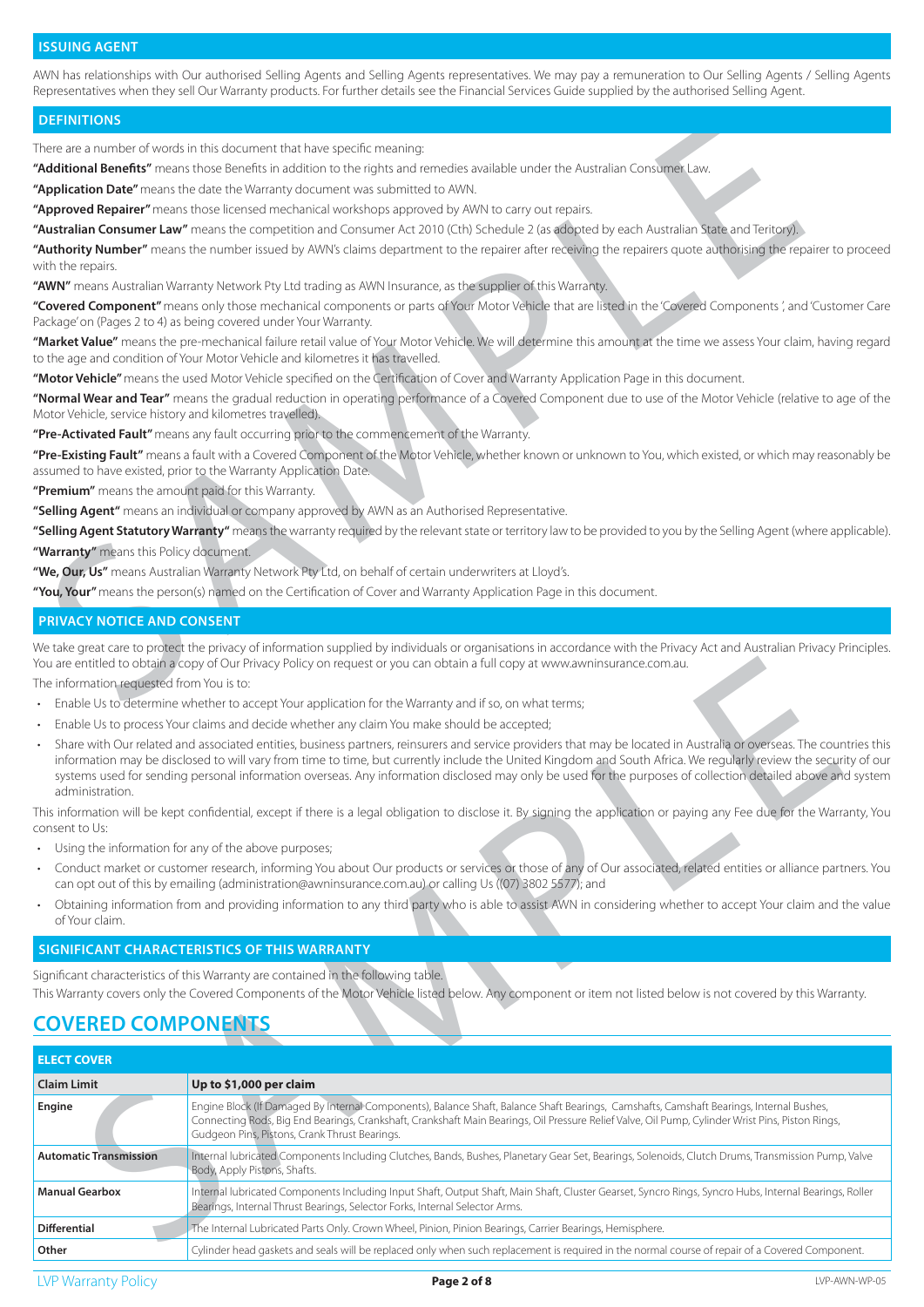# **ISSUING AGENT**

AWN has relationships with Our authorised Selling Agents and Selling Agents representatives. We may pay a remuneration to Our Selling Agents / Selling Agents Representatives when they sell Our Warranty products. For further details see the Financial Services Guide supplied by the authorised Selling Agent.

#### **DEFINITIONS**

There are a number of words in this document that have specific meaning:

**"Additional Benefits"** means those Benefits in addition to the rights and remedies available under the Australian Consumer Law.

**"Application Date"** means the date the Warranty document was submitted to AWN.

**"Approved Repairer"** means those licensed mechanical workshops approved by AWN to carry out repairs.

**"Australian Consumer Law"** means the competition and Consumer Act 2010 (Cth) Schedule 2 (as adopted by each Australian State and Teritory).

**"Authority Number"** means the number issued by AWN's claims department to the repairer after receiving the repairers quote authorising the repairer to proceed with the repairs

**"AWN"** means Australian Warranty Network Pty Ltd trading as AWN Insurance, as the supplier of this Warranty.

**"Covered Component"** means only those mechanical components or parts of Your Motor Vehicle that are listed in the 'Covered Components ', and 'Customer Care Package' on (Pages 2 to 4) as being covered under Your Warranty.

**"Market Value"** means the pre-mechanical failure retail value of Your Motor Vehicle. We will determine this amount at the time we assess Your claim, having regard to the age and condition of Your Motor Vehicle and kilometres it has travelled.

**"Motor Vehicle"** means the used Motor Vehicle specified on the Certification of Cover and Warranty Application Page in this document.

**"Normal Wear and Tear"** means the gradual reduction in operating performance of a Covered Component due to use of the Motor Vehicle (relative to age of the Motor Vehicle, service history and kilometres travelled).

**"Pre-Activated Fault"** means any fault occurring prior to the commencement of the Warranty.

**"Pre-Existing Fault"** means a fault with a Covered Component of the Motor Vehicle, whether known or unknown to You, which existed, or which may reasonably be assumed to have existed, prior to the Warranty Application Date.

**"Premium"** means the amount paid for this Warranty.

**"Selling Agent"** means an individual or company approved by AWN as an Authorised Representative.

**"Selling Agent Statutory Warranty"** means the warranty required by the relevant state or territory law to be provided to you by the Selling Agent (where applicable). **"Warranty"** means this Policy document.

**"We, Our, Us"** means Australian Warranty Network Pty Ltd, on behalf of certain underwriters at Lloyd's.

**"You, Your"** means the person(s) named on the Certification of Cover and Warranty Application Page in this document.

# **PRIVACY NOTICE AND CONSENT**

DEFINITIONS<br>where a simultered words in this document that have specific meaning<br>additional Benefits" means these Benefits in addition to the rights and remedies available under the Australian Consumer Law.<br>Approved Repair We take great care to protect the privacy of information supplied by individuals or organisations in accordance with the Privacy Act and Australian Privacy Principles. You are entitled to obtain a copy of Our Privacy Policy on request or you can obtain a full copy at www.awninsurance.com.au.

- Enable Us to determine whether to accept Your application for the Warranty and if so, on what terms;
- Enable Us to process Your claims and decide whether any claim You make should be accepted;
- Share with Our related and associated entities, business partners, reinsurers and service providers that may be located in Australia or overseas. The countries this information may be disclosed to will vary from time to time, but currently include the United Kingdom and South Africa. We regularly review the security of our systems used for sending personal information overseas. Any information disclosed may only be used for the purposes of collection detailed above and system administration.

- Using the information for any of the above purposes;
- Conduct market or customer research, informing You about Our products or services or those of any of Our associated, related entities or alliance partners. You can opt out of this by emailing (administration@awninsurance.com.au) or calling Us ((07) 3802 5577); and
- Obtaining information from and providing information to any third party who is able to assist AWN in considering whether to accept Your claim and the value of Your claim.

#### **SIGNIFICANT CHARACTERISTICS OF THIS WARRANTY**

# **COVERED COMPONENTS**

|                                                                                                                                                                                                                                                                                                                                                                                                                                                                                                                           | You are entitled to obtain a copy of Our Privacy Policy on request or you can obtain a full copy at www.awninsurance.com.au.                                                                                                                                                                                                                 |  |  |  |  |
|---------------------------------------------------------------------------------------------------------------------------------------------------------------------------------------------------------------------------------------------------------------------------------------------------------------------------------------------------------------------------------------------------------------------------------------------------------------------------------------------------------------------------|----------------------------------------------------------------------------------------------------------------------------------------------------------------------------------------------------------------------------------------------------------------------------------------------------------------------------------------------|--|--|--|--|
| The information requested from You is to:                                                                                                                                                                                                                                                                                                                                                                                                                                                                                 |                                                                                                                                                                                                                                                                                                                                              |  |  |  |  |
|                                                                                                                                                                                                                                                                                                                                                                                                                                                                                                                           | Enable Us to determine whether to accept Your application for the Warranty and if so, on what terms;                                                                                                                                                                                                                                         |  |  |  |  |
| $\bullet$                                                                                                                                                                                                                                                                                                                                                                                                                                                                                                                 | Enable Us to process Your claims and decide whether any claim You make should be accepted;                                                                                                                                                                                                                                                   |  |  |  |  |
| Share with Our related and associated entities, business partners, reinsurers and service providers that may be located in Australia or overseas. The countries this<br>information may be disclosed to will vary from time to time, but currently include the United Kingdom and South Africa. We reqularly review the security of our<br>systems used for sending personal information overseas. Any information disclosed may only be used for the purposes of collection detailed above and system<br>administration. |                                                                                                                                                                                                                                                                                                                                              |  |  |  |  |
| consent to Us:                                                                                                                                                                                                                                                                                                                                                                                                                                                                                                            | This information will be kept confidential, except if there is a legal obligation to disclose it. By signing the application or paying any Fee due for the Warranty, You                                                                                                                                                                     |  |  |  |  |
| • Using the information for any of the above purposes;                                                                                                                                                                                                                                                                                                                                                                                                                                                                    |                                                                                                                                                                                                                                                                                                                                              |  |  |  |  |
| Conduct market or customer research, informing You about Our products or services or those of any of Our associated, related entities or alliance partners. You<br>can opt out of this by emailing (administration@awninsurance.com.au) or calling Us ((07) 3802 5577); and                                                                                                                                                                                                                                               |                                                                                                                                                                                                                                                                                                                                              |  |  |  |  |
| Obtaining information from and providing information to any third party who is able to assist AWN in considering whether to accept Your claim and the value<br>of Your claim.                                                                                                                                                                                                                                                                                                                                             |                                                                                                                                                                                                                                                                                                                                              |  |  |  |  |
|                                                                                                                                                                                                                                                                                                                                                                                                                                                                                                                           | SIGNIFICANT CHARACTERISTICS OF THIS WARRANTY                                                                                                                                                                                                                                                                                                 |  |  |  |  |
|                                                                                                                                                                                                                                                                                                                                                                                                                                                                                                                           | Significant characteristics of this Warranty are contained in the following table.<br>This Warranty covers only the Covered Components of the Motor Vehicle listed below. Any component or item not listed below is not covered by this Warranty.                                                                                            |  |  |  |  |
| <b>COVERED COMPONENTS</b>                                                                                                                                                                                                                                                                                                                                                                                                                                                                                                 |                                                                                                                                                                                                                                                                                                                                              |  |  |  |  |
| <b>ELECT COVER</b>                                                                                                                                                                                                                                                                                                                                                                                                                                                                                                        |                                                                                                                                                                                                                                                                                                                                              |  |  |  |  |
| <b>Claim Limit</b>                                                                                                                                                                                                                                                                                                                                                                                                                                                                                                        | Up to \$1,000 per claim                                                                                                                                                                                                                                                                                                                      |  |  |  |  |
| Engine                                                                                                                                                                                                                                                                                                                                                                                                                                                                                                                    | Engine Block (If Damaged By Internal Components), Balance Shaft, Balance Shaft Bearings, Camshafts, Camshaft Bearings, Internal Bushes,<br>Connecting Rods, Big End Bearings, Crankshaft, Crankshaft Main Bearings, Oil Pressure Relief Valve, Oil Pump, Cylinder Wrist Pins, Piston Rings,<br>Gudgeon Pins, Pistons, Crank Thrust Bearings. |  |  |  |  |
| <b>Automatic Transmission</b>                                                                                                                                                                                                                                                                                                                                                                                                                                                                                             | Internal lubricated Components Including Clutches, Bands, Bushes, Planetary Gear Set, Bearings, Solenoids, Clutch Drums, Transmission Pump, Valve<br>Body, Apply Pistons, Shafts.                                                                                                                                                            |  |  |  |  |
| <b>Manual Gearbox</b>                                                                                                                                                                                                                                                                                                                                                                                                                                                                                                     | Internal lubricated Components Including Input Shaft, Output Shaft, Main Shaft, Cluster Gearset, Syncro Rings, Syncro Hubs, Internal Bearings, Roller<br>Bearings, Internal Thrust Bearings, Selector Forks, Internal Selector Arms.                                                                                                         |  |  |  |  |
| <b>Differential</b>                                                                                                                                                                                                                                                                                                                                                                                                                                                                                                       | The Internal Lubricated Parts Only. Crown Wheel, Pinion, Pinion Bearings, Carrier Bearings, Hemisphere.                                                                                                                                                                                                                                      |  |  |  |  |
| Other                                                                                                                                                                                                                                                                                                                                                                                                                                                                                                                     | Cylinder head gaskets and seals will be replaced only when such replacement is required in the normal course of repair of a Covered Component.                                                                                                                                                                                               |  |  |  |  |
|                                                                                                                                                                                                                                                                                                                                                                                                                                                                                                                           |                                                                                                                                                                                                                                                                                                                                              |  |  |  |  |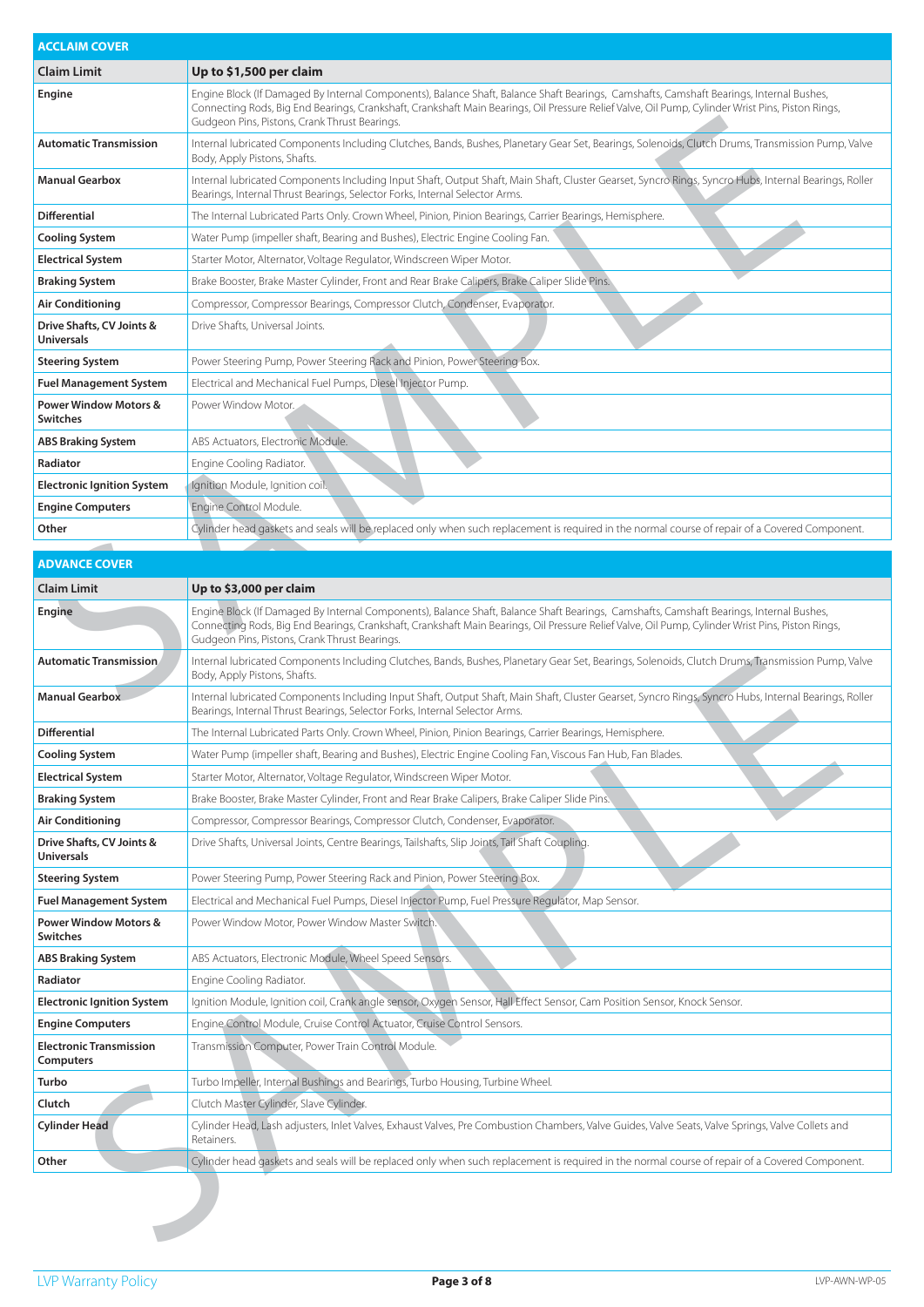| <b>ACCLAIM COVER</b>                                |                                                                                                                                                                                                                                                                                                                                              |  |  |  |
|-----------------------------------------------------|----------------------------------------------------------------------------------------------------------------------------------------------------------------------------------------------------------------------------------------------------------------------------------------------------------------------------------------------|--|--|--|
| <b>Claim Limit</b>                                  | Up to \$1,500 per claim                                                                                                                                                                                                                                                                                                                      |  |  |  |
| Engine                                              | Engine Block (If Damaged By Internal Components), Balance Shaft, Balance Shaft Bearings, Camshafts, Camshaft Bearings, Internal Bushes,<br>Connecting Rods, Big End Bearings, Crankshaft, Crankshaft Main Bearings, Oil Pressure Relief Valve, Oil Pump, Cylinder Wrist Pins, Piston Rings,<br>Gudgeon Pins, Pistons, Crank Thrust Bearings. |  |  |  |
| <b>Automatic Transmission</b>                       | Internal lubricated Components Including Clutches, Bands, Bushes, Planetary Gear Set, Bearings, Solenoids, Clutch Drums, Transmission Pump, Valve<br>Body, Apply Pistons, Shafts.                                                                                                                                                            |  |  |  |
| <b>Manual Gearbox</b>                               | Internal lubricated Components Including Input Shaft, Output Shaft, Main Shaft, Cluster Gearset, Syncro Rings, Syncro Hubs, Internal Bearings, Roller<br>Bearings, Internal Thrust Bearings, Selector Forks, Internal Selector Arms.                                                                                                         |  |  |  |
| <b>Differential</b>                                 | The Internal Lubricated Parts Only. Crown Wheel, Pinion, Pinion Bearings, Carrier Bearings, Hemisphere.                                                                                                                                                                                                                                      |  |  |  |
| <b>Cooling System</b>                               | Water Pump (impeller shaft, Bearing and Bushes), Electric Engine Cooling Fan.                                                                                                                                                                                                                                                                |  |  |  |
| <b>Electrical System</b>                            | Starter Motor, Alternator, Voltage Regulator, Windscreen Wiper Motor.                                                                                                                                                                                                                                                                        |  |  |  |
| <b>Braking System</b>                               | Brake Booster, Brake Master Cylinder, Front and Rear Brake Calipers, Brake Caliper Slide Pins.                                                                                                                                                                                                                                               |  |  |  |
| Air Conditioning                                    | Compressor, Compressor Bearings, Compressor Clutch, Condenser, Evaporator.                                                                                                                                                                                                                                                                   |  |  |  |
| Drive Shafts, CV Joints &<br><b>Universals</b>      | Drive Shafts, Universal Joints.                                                                                                                                                                                                                                                                                                              |  |  |  |
| <b>Steering System</b>                              | Power Steering Pump, Power Steering Rack and Pinion, Power Steering Box.                                                                                                                                                                                                                                                                     |  |  |  |
| <b>Fuel Management System</b>                       | Electrical and Mechanical Fuel Pumps, Diesel Injector Pump.                                                                                                                                                                                                                                                                                  |  |  |  |
| <b>Power Window Motors &amp;</b><br><b>Switches</b> | Power Window Motor.                                                                                                                                                                                                                                                                                                                          |  |  |  |
| <b>ABS Braking System</b>                           | ABS Actuators, Electronic Module.                                                                                                                                                                                                                                                                                                            |  |  |  |
| Radiator                                            | Engine Cooling Radiator.                                                                                                                                                                                                                                                                                                                     |  |  |  |
| <b>Electronic Ignition System</b>                   | Ignition Module, Ignition coil.                                                                                                                                                                                                                                                                                                              |  |  |  |
| <b>Engine Computers</b>                             | Engine Control Module.                                                                                                                                                                                                                                                                                                                       |  |  |  |
| Other                                               | Cylinder head gaskets and seals will be replaced only when such replacement is required in the normal course of repair of a Covered Component.                                                                                                                                                                                               |  |  |  |
|                                                     |                                                                                                                                                                                                                                                                                                                                              |  |  |  |
| <b>ADVANCE COVER</b>                                |                                                                                                                                                                                                                                                                                                                                              |  |  |  |
| <b>Claim Limit</b>                                  | Up to \$3,000 per claim                                                                                                                                                                                                                                                                                                                      |  |  |  |
| Engine                                              | Engine Block (If Damaged By Internal Components), Balance Shaft, Balance Shaft Bearings, Camshafts, Camshaft Bearings, Internal Bushes,<br>Connecting Rods, Big End Bearings, Crankshaft, Crankshaft Main Bearings, Oil Pressure Relief Valve, Oil Pump, Cylinder Wrist Pins, Piston Rings,<br>Gudgeon Pins, Pistons, Crank Thrust Bearings. |  |  |  |
| <b>Automatic Transmission</b>                       | Internal lubricated Components Including Clutches, Bands, Bushes, Planetary Gear Set, Bearings, Solenoids, Clutch Drums, Transmission Pump, Valve<br>Body, Apply Pistons, Shafts.                                                                                                                                                            |  |  |  |
| <b>Manual Gearbox</b>                               | Internal lubricated Components Including Input Shaft, Output Shaft, Main Shaft, Cluster Gearset, Syncro Rings, Syncro Hubs, Internal Bearings, Roller                                                                                                                                                                                        |  |  |  |

| <b>ADVANCE COVER</b>                                |                                                                                                                                                                                                                                                                                                                                              |  |  |  |
|-----------------------------------------------------|----------------------------------------------------------------------------------------------------------------------------------------------------------------------------------------------------------------------------------------------------------------------------------------------------------------------------------------------|--|--|--|
| <b>Claim Limit</b>                                  | Up to \$3,000 per claim                                                                                                                                                                                                                                                                                                                      |  |  |  |
| Engine                                              | Engine Block (If Damaged By Internal Components), Balance Shaft, Balance Shaft Bearings, Camshafts, Camshaft Bearings, Internal Bushes,<br>Connecting Rods, Big End Bearings, Crankshaft, Crankshaft Main Bearings, Oil Pressure Relief Valve, Oil Pump, Cylinder Wrist Pins, Piston Rings,<br>Gudgeon Pins, Pistons, Crank Thrust Bearings. |  |  |  |
| <b>Automatic Transmission</b>                       | Internal lubricated Components Including Clutches, Bands, Bushes, Planetary Gear Set, Bearings, Solenoids, Clutch Drums, Transmission Pump, Valve<br>Body, Apply Pistons, Shafts.                                                                                                                                                            |  |  |  |
| <b>Manual Gearbox</b>                               | Internal lubricated Components Including Input Shaft, Output Shaft, Main Shaft, Cluster Gearset, Syncro Rings, Syncro Hubs, Internal Bearings, Roller<br>Bearings, Internal Thrust Bearings, Selector Forks, Internal Selector Arms.                                                                                                         |  |  |  |
| <b>Differential</b>                                 | The Internal Lubricated Parts Only. Crown Wheel, Pinion, Pinion Bearings, Carrier Bearings, Hemisphere.                                                                                                                                                                                                                                      |  |  |  |
| <b>Cooling System</b>                               | Water Pump (impeller shaft, Bearing and Bushes), Electric Engine Cooling Fan, Viscous Fan Hub, Fan Blades.                                                                                                                                                                                                                                   |  |  |  |
| <b>Electrical System</b>                            | Starter Motor, Alternator, Voltage Regulator, Windscreen Wiper Motor.                                                                                                                                                                                                                                                                        |  |  |  |
| <b>Braking System</b>                               | Brake Booster, Brake Master Cylinder, Front and Rear Brake Calipers, Brake Caliper Slide Pins.                                                                                                                                                                                                                                               |  |  |  |
| <b>Air Conditioning</b>                             | Compressor, Compressor Bearings, Compressor Clutch, Condenser, Evaporator.                                                                                                                                                                                                                                                                   |  |  |  |
| Drive Shafts, CV Joints &<br><b>Universals</b>      | Drive Shafts, Universal Joints, Centre Bearings, Tailshafts, Slip Joints, Tail Shaft Coupling.                                                                                                                                                                                                                                               |  |  |  |
| <b>Steering System</b>                              | Power Steering Pump, Power Steering Rack and Pinion, Power Steering Box.                                                                                                                                                                                                                                                                     |  |  |  |
| <b>Fuel Management System</b>                       | Electrical and Mechanical Fuel Pumps, Diesel Injector Pump, Fuel Pressure Regulator, Map Sensor.                                                                                                                                                                                                                                             |  |  |  |
| <b>Power Window Motors &amp;</b><br><b>Switches</b> | Power Window Motor, Power Window Master Switch.                                                                                                                                                                                                                                                                                              |  |  |  |
| <b>ABS Braking System</b>                           | ABS Actuators, Electronic Module, Wheel Speed Sensors.                                                                                                                                                                                                                                                                                       |  |  |  |
| Radiator                                            | Engine Cooling Radiator.                                                                                                                                                                                                                                                                                                                     |  |  |  |
| <b>Electronic Ignition System</b>                   | Ignition Module, Ignition coil, Crank angle sensor, Oxygen Sensor, Hall Effect Sensor, Cam Position Sensor, Knock Sensor.                                                                                                                                                                                                                    |  |  |  |
| <b>Engine Computers</b>                             | Engine Control Module, Cruise Control Actuator, Cruise Control Sensors.                                                                                                                                                                                                                                                                      |  |  |  |
| <b>Electronic Transmission</b><br>Computers         | Transmission Computer, Power Train Control Module.                                                                                                                                                                                                                                                                                           |  |  |  |
| Turbo                                               | Turbo Impeller, Internal Bushings and Bearings, Turbo Housing, Turbine Wheel.                                                                                                                                                                                                                                                                |  |  |  |
| Clutch                                              | Clutch Master Cylinder, Slave Cylinder.                                                                                                                                                                                                                                                                                                      |  |  |  |
| <b>Cylinder Head</b>                                | Cylinder Head, Lash adjusters, Inlet Valves, Exhaust Valves, Pre Combustion Chambers, Valve Guides, Valve Seats, Valve Springs, Valve Collets and<br>Retainers.                                                                                                                                                                              |  |  |  |
| Other                                               | Cylinder head gaskets and seals will be replaced only when such replacement is required in the normal course of repair of a Covered Component.                                                                                                                                                                                               |  |  |  |
|                                                     |                                                                                                                                                                                                                                                                                                                                              |  |  |  |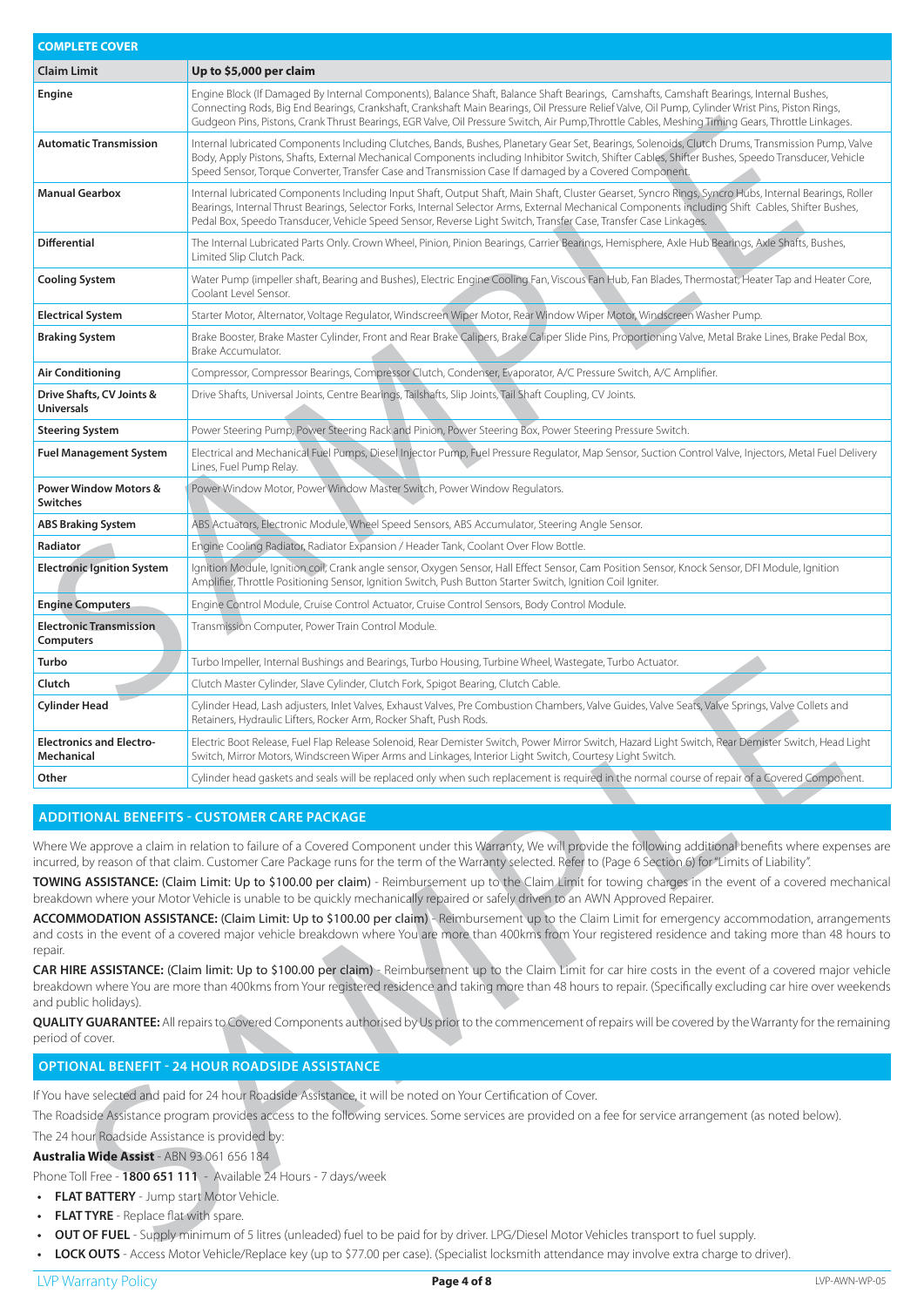| <b>COMPLETE COVER</b>                                                                                                                                                                                                                                                                                                                                     |                                                                                                                                                                                                                                                                                                                                                                                                                                                  |  |  |  |
|-----------------------------------------------------------------------------------------------------------------------------------------------------------------------------------------------------------------------------------------------------------------------------------------------------------------------------------------------------------|--------------------------------------------------------------------------------------------------------------------------------------------------------------------------------------------------------------------------------------------------------------------------------------------------------------------------------------------------------------------------------------------------------------------------------------------------|--|--|--|
| <b>Claim Limit</b>                                                                                                                                                                                                                                                                                                                                        | Up to \$5,000 per claim                                                                                                                                                                                                                                                                                                                                                                                                                          |  |  |  |
| Engine                                                                                                                                                                                                                                                                                                                                                    | Engine Block (If Damaged By Internal Components), Balance Shaft, Balance Shaft Bearings, Camshafts, Camshaft Bearings, Internal Bushes,<br>Connecting Rods, Big End Bearings, Crankshaft, Crankshaft Main Bearings, Oil Pressure Relief Valve, Oil Pump, Cylinder Wrist Pins, Piston Rings,<br>Gudgeon Pins, Pistons, Crank Thrust Bearings, EGR Valve, Oil Pressure Switch, Air Pump, Throttle Cables, Meshing Timing Gears, Throttle Linkages. |  |  |  |
| <b>Automatic Transmission</b>                                                                                                                                                                                                                                                                                                                             | Internal lubricated Components Including Clutches, Bands, Bushes, Planetary Gear Set, Bearings, Solenoids, Clutch Drums, Transmission Pump, Valve<br>Body, Apply Pistons, Shafts, External Mechanical Components including Inhibitor Switch, Shifter Cables, Shifter Bushes, Speedo Transducer, Vehicle<br>Speed Sensor, Torque Converter, Transfer Case and Transmission Case If damaged by a Covered Component,                                |  |  |  |
| <b>Manual Gearbox</b>                                                                                                                                                                                                                                                                                                                                     | Internal lubricated Components Including Input Shaft, Output Shaft, Main Shaft, Cluster Gearset, Syncro Rings, Syncro Hubs, Internal Bearings, Roller<br>Bearings, Internal Thrust Bearings, Selector Forks, Internal Selector Arms, External Mechanical Components including Shift Cables, Shifter Bushes,<br>Pedal Box, Speedo Transducer, Vehicle Speed Sensor, Reverse Light Switch, Transfer Case, Transfer Case Linkages.                  |  |  |  |
| <b>Differential</b>                                                                                                                                                                                                                                                                                                                                       | The Internal Lubricated Parts Only. Crown Wheel, Pinion, Pinion Bearings, Carrier Bearings, Hemisphere, Axle Hub Bearings, Axle Shafts, Bushes,<br>Limited Slip Clutch Pack.                                                                                                                                                                                                                                                                     |  |  |  |
| <b>Cooling System</b>                                                                                                                                                                                                                                                                                                                                     | Water Pump (impeller shaft, Bearing and Bushes), Electric Engine Cooling Fan, Viscous Fan Hub, Fan Blades, Thermostat, Heater Tap and Heater Core,<br>Coolant Level Sensor.                                                                                                                                                                                                                                                                      |  |  |  |
| <b>Electrical System</b>                                                                                                                                                                                                                                                                                                                                  | Starter Motor, Alternator, Voltage Regulator, Windscreen Wiper Motor, Rear Window Wiper Motor, Windscreen Washer Pump.                                                                                                                                                                                                                                                                                                                           |  |  |  |
| <b>Braking System</b>                                                                                                                                                                                                                                                                                                                                     | Brake Booster, Brake Master Cylinder, Front and Rear Brake Calipers, Brake Caliper Slide Pins, Proportioning Valve, Metal Brake Lines, Brake Pedal Box,<br>Brake Accumulator.                                                                                                                                                                                                                                                                    |  |  |  |
| <b>Air Conditioning</b>                                                                                                                                                                                                                                                                                                                                   | Compressor, Compressor Bearings, Compressor Clutch, Condenser, Evaporator, A/C Pressure Switch, A/C Amplifier.                                                                                                                                                                                                                                                                                                                                   |  |  |  |
| Drive Shafts, CV Joints &<br><b>Universals</b>                                                                                                                                                                                                                                                                                                            | Drive Shafts, Universal Joints, Centre Bearings, Tailshafts, Slip Joints, Tail Shaft Coupling, CV Joints.                                                                                                                                                                                                                                                                                                                                        |  |  |  |
| <b>Steering System</b>                                                                                                                                                                                                                                                                                                                                    | Power Steering Pump, Power Steering Rack and Pinion, Power Steering Box, Power Steering Pressure Switch.                                                                                                                                                                                                                                                                                                                                         |  |  |  |
| <b>Fuel Management System</b>                                                                                                                                                                                                                                                                                                                             | Electrical and Mechanical Fuel Pumps, Diesel Injector Pump, Fuel Pressure Regulator, Map Sensor, Suction Control Valve, Injectors, Metal Fuel Delivery<br>Lines, Fuel Pump Relay.                                                                                                                                                                                                                                                                |  |  |  |
| <b>Power Window Motors &amp;</b><br><b>Switches</b>                                                                                                                                                                                                                                                                                                       | Power Window Motor, Power Window Master Switch, Power Window Regulators.                                                                                                                                                                                                                                                                                                                                                                         |  |  |  |
| <b>ABS Braking System</b>                                                                                                                                                                                                                                                                                                                                 | ABS Actuators, Electronic Module, Wheel Speed Sensors, ABS Accumulator, Steering Angle Sensor.                                                                                                                                                                                                                                                                                                                                                   |  |  |  |
| Radiator                                                                                                                                                                                                                                                                                                                                                  | Engine Cooling Radiator, Radiator Expansion / Header Tank, Coolant Over Flow Bottle.                                                                                                                                                                                                                                                                                                                                                             |  |  |  |
| <b>Electronic Ignition System</b>                                                                                                                                                                                                                                                                                                                         | Ignition Module, Ignition coil, Crank angle sensor, Oxygen Sensor, Hall Effect Sensor, Cam Position Sensor, Knock Sensor, DFI Module, Ignition<br>Amplifier, Throttle Positioning Sensor, Ignition Switch, Push Button Starter Switch, Ignition Coil Igniter.                                                                                                                                                                                    |  |  |  |
| <b>Engine Computers</b>                                                                                                                                                                                                                                                                                                                                   | Engine Control Module, Cruise Control Actuator, Cruise Control Sensors, Body Control Module.                                                                                                                                                                                                                                                                                                                                                     |  |  |  |
| <b>Electronic Transmission</b><br>Computers                                                                                                                                                                                                                                                                                                               | Transmission Computer, Power Train Control Module.                                                                                                                                                                                                                                                                                                                                                                                               |  |  |  |
| Turbo                                                                                                                                                                                                                                                                                                                                                     | Turbo Impeller, Internal Bushings and Bearings, Turbo Housing, Turbine Wheel, Wastegate, Turbo Actuator.                                                                                                                                                                                                                                                                                                                                         |  |  |  |
| Clutch                                                                                                                                                                                                                                                                                                                                                    | Clutch Master Cylinder, Slave Cylinder, Clutch Fork, Spigot Bearing, Clutch Cable.                                                                                                                                                                                                                                                                                                                                                               |  |  |  |
| <b>Cylinder Head</b>                                                                                                                                                                                                                                                                                                                                      | Cylinder Head, Lash adjusters, Inlet Valves, Exhaust Valves, Pre Combustion Chambers, Valve Guides, Valve Seats, Valve Springs, Valve Collets and<br>Retainers, Hydraulic Lifters, Rocker Arm, Rocker Shaft, Push Rods.                                                                                                                                                                                                                          |  |  |  |
| <b>Electronics and Electro-</b><br>Mechanical                                                                                                                                                                                                                                                                                                             | Electric Boot Release, Fuel Flap Release Solenoid, Rear Demister Switch, Power Mirror Switch, Hazard Light Switch, Rear Demister Switch, Head Light<br>Switch, Mirror Motors, Windscreen Wiper Arms and Linkages, Interior Light Switch, Courtesy Light Switch.                                                                                                                                                                                  |  |  |  |
| Other                                                                                                                                                                                                                                                                                                                                                     | Cylinder head gaskets and seals will be replaced only when such replacement is required in the normal course of repair of a Covered Component.                                                                                                                                                                                                                                                                                                   |  |  |  |
|                                                                                                                                                                                                                                                                                                                                                           | <b>ADDITIONAL BENEFITS - CUSTOMER CARE PACKAGE</b>                                                                                                                                                                                                                                                                                                                                                                                               |  |  |  |
|                                                                                                                                                                                                                                                                                                                                                           | Where We approve a claim in relation to failure of a Covered Component under this Warranty, We will provide the following additional benefits where expenses are<br>incurred, by reason of that claim. Customer Care Package runs for the term of the Warranty selected. Refer to (Page 6 Section 6) for "Limits of Liability".                                                                                                                  |  |  |  |
|                                                                                                                                                                                                                                                                                                                                                           | TOWING ASSISTANCE: (Claim Limit: Up to \$100.00 per claim) - Reimbursement up to the Claim Limit for towing charges in the event of a covered mechanical<br>breakdown where your Motor Vehicle is unable to be quickly mechanically repaired or safely driven to an AWN Approved Repairer.                                                                                                                                                       |  |  |  |
| ACCOMMODATION ASSISTANCE: (Claim Limit: Up to \$100.00 per claim) - Reimbursement up to the Claim Limit for emergency accommodation, arrangements<br>and costs in the event of a covered major vehicle breakdown where You are more than 400kms from Your registered residence and taking more than 48 hours to<br>repair.                                |                                                                                                                                                                                                                                                                                                                                                                                                                                                  |  |  |  |
| CAR HIRE ASSISTANCE: (Claim limit: Up to \$100.00 per claim) - Reimbursement up to the Claim Limit for car hire costs in the event of a covered major vehicle<br>breakdown where You are more than 400kms from Your registered residence and taking more than 48 hours to repair. (Specifically excluding car hire over weekends<br>and public holidays). |                                                                                                                                                                                                                                                                                                                                                                                                                                                  |  |  |  |
| QUALITY GUARANTEE: All repairs to Covered Components authorised by Us prior to the commencement of repairs will be covered by the Warranty for the remaining<br>period of cover.                                                                                                                                                                          |                                                                                                                                                                                                                                                                                                                                                                                                                                                  |  |  |  |
|                                                                                                                                                                                                                                                                                                                                                           | <b>OPTIONAL BENEFIT - 24 HOUR ROADSIDE ASSISTANCE</b>                                                                                                                                                                                                                                                                                                                                                                                            |  |  |  |
| If You have selected and paid for 24 hour Roadside Assistance, it will be noted on Your Certification of Cover.<br>The Roadside Assistance program provides access to the following services. Some services are provided on a fee for service arrangement (as noted below).                                                                               |                                                                                                                                                                                                                                                                                                                                                                                                                                                  |  |  |  |
| The 24 hour Roadside Assistance is provided by:                                                                                                                                                                                                                                                                                                           |                                                                                                                                                                                                                                                                                                                                                                                                                                                  |  |  |  |
| Australia Wide Assist - ABN 93 061 656 184<br>Phone Toll Free - 1800 651 111 - Available 24 Hours - 7 days/week                                                                                                                                                                                                                                           |                                                                                                                                                                                                                                                                                                                                                                                                                                                  |  |  |  |
| • FLAT BATTERY - Jump start Motor Vehicle.                                                                                                                                                                                                                                                                                                                |                                                                                                                                                                                                                                                                                                                                                                                                                                                  |  |  |  |
| <b>FLAT TYRE</b> - Replace flat with spare.                                                                                                                                                                                                                                                                                                               |                                                                                                                                                                                                                                                                                                                                                                                                                                                  |  |  |  |
| <b>OUT OF FUEL</b> - Supply minimum of 5 litres (unleaded) fuel to be paid for by driver. LPG/Diesel Motor Vehicles transport to fuel supply.                                                                                                                                                                                                             |                                                                                                                                                                                                                                                                                                                                                                                                                                                  |  |  |  |

# **ADDITIONAL BENEFITS - CUSTOMER CARE PACKAGE**

# **OPTIONAL BENEFIT - 24 HOUR ROADSIDE ASSISTANCE**

#### **Australia Wide Assist** - ABN 93 061 656 184

- **• FLAT BATTERY** Jump start Motor Vehicle.
- **• FLAT TYRE** Replace flat with spare.
- **• OUT OF FUEL** Supply minimum of 5 litres (unleaded) fuel to be paid for by driver. LPG/Diesel Motor Vehicles transport to fuel supply.
- **• LOCK OUTS** Access Motor Vehicle/Replace key (up to \$77.00 per case). (Specialist locksmith attendance may involve extra charge to driver).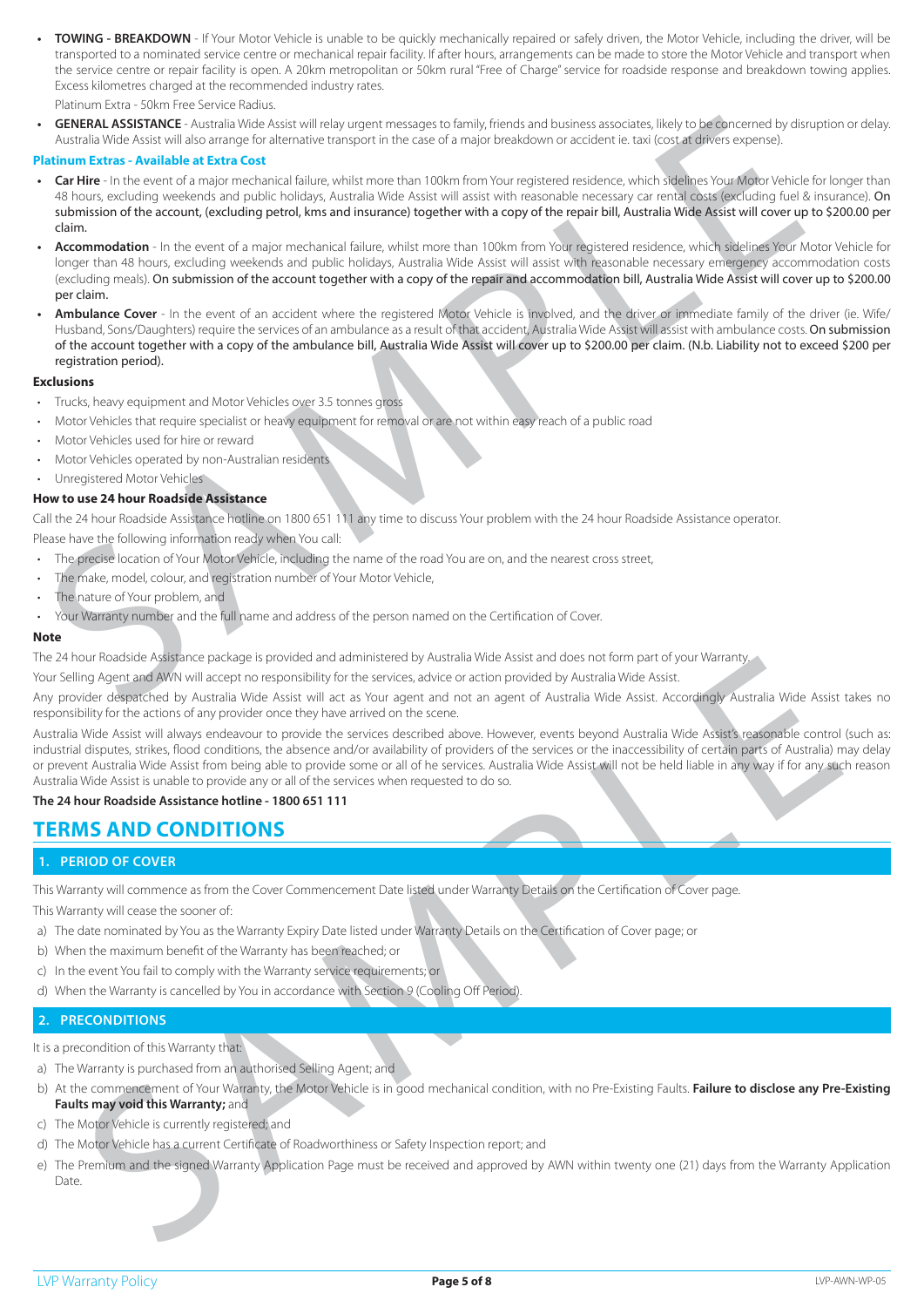**• TOWING - BREAKDOWN** - If Your Motor Vehicle is unable to be quickly mechanically repaired or safely driven, the Motor Vehicle, including the driver, will be transported to a nominated service centre or mechanical repair facility. If after hours, arrangements can be made to store the Motor Vehicle and transport when the service centre or repair facility is open. A 20km metropolitan or 50km rural "Free of Charge" service for roadside response and breakdown towing applies. Excess kilometres charged at the recommended industry rates.

Platinum Extra - 50km Free Service Radius.

**• GENERAL ASSISTANCE** - Australia Wide Assist will relay urgent messages to family, friends and business associates, likely to be concerned by disruption or delay. Australia Wide Assist will also arrange for alternative transport in the case of a major breakdown or accident ie. taxi (cost at drivers expense).

#### **Platinum Extras - Available at Extra Cost**

- GENERAL ASSETANCE Australia Wide Assistration remissions to land the interds and business the section of the section of the section of the section of the section of the section of the section of the section of the section **• Car Hire** - In the event of a major mechanical failure, whilst more than 100km from Your registered residence, which sidelines Your Motor Vehicle for longer than 48 hours, excluding weekends and public holidays, Australia Wide Assist will assist with reasonable necessary car rental costs (excluding fuel & insurance). On submission of the account, (excluding petrol, kms and insurance) together with a copy of the repair bill, Australia Wide Assist will cover up to \$200.00 per claim.
- **• Accommodation** In the event of a major mechanical failure, whilst more than 100km from Your registered residence, which sidelines Your Motor Vehicle for longer than 48 hours, excluding weekends and public holidays, Australia Wide Assist will assist with reasonable necessary emergency accommodation costs (excluding meals). On submission of the account together with a copy of the repair and accommodation bill, Australia Wide Assist will cover up to \$200.00 per claim.
- **• Ambulance Cover** In the event of an accident where the registered Motor Vehicle is involved, and the driver or immediate family of the driver (ie. Wife/ Husband, Sons/Daughters) require the services of an ambulance as a result of that accident, Australia Wide Assist will assist with ambulance costs. On submission of the account together with a copy of the ambulance bill, Australia Wide Assist will cover up to \$200.00 per claim. (N.b. Liability not to exceed \$200 per registration period).

#### **Exclusions**

- Trucks, heavy equipment and Motor Vehicles over 3.5 tonnes gross
- Motor Vehicles that require specialist or heavy equipment for removal or are not within easy reach of a public road
- Motor Vehicles used for hire or reward
- Motor Vehicles operated by non-Australian residents
- Unregistered Motor Vehicles

### **How to use 24 hour Roadside Assistance**

Call the 24 hour Roadside Assistance hotline on 1800 651 111 any time to discuss Your problem with the 24 hour Roadside Assistance operator. Please have the following information ready when You call:

- The precise location of Your Motor Vehicle, including the name of the road You are on, and the nearest cross street,
- The make, model, colour, and registration number of Your Motor Vehicle,
- The nature of Your problem, and
- Your Warranty number and the full name and address of the person named on the Certification of Cover.

#### **Note**

The 24 hour Roadside Assistance package is provided and administered by Australia Wide Assist and does not form part of your Warranty.

Your Selling Agent and AWN will accept no responsibility for the services, advice or action provided by Australia Wide Assist.

Any provider despatched by Australia Wide Assist will act as Your agent and not an agent of Australia Wide Assist. Accordingly Australia Wide Assist takes no responsibility for the actions of any provider once they have arrived on the scene.

our Restrainance participa is provided and administering by Australia Wide wice and note of the minimizary participate in the operation of the state of the state of the state of the state of the state of the state of the s Australia Wide Assist will always endeavour to provide the services described above. However, events beyond Australia Wide Assist's reasonable control (such as: industrial disputes, strikes, flood conditions, the absence and/or availability of providers of the services or the inaccessibility of certain parts of Australia) may delay or prevent Australia Wide Assist from being able to provide some or all of he services. Australia Wide Assist will not be held liable in any way if for any such reason Australia Wide Assist is unable to provide any or all of the services when requested to do so.

#### **The 24 hour Roadside Assistance hotline - 1800 651 111**

# **TERMS AND CONDITIONS**

# **1. PERIOD OF COVER**

This Warranty will commence as from the Cover Commencement Date listed under Warranty Details on the Certification of Cover page.

This Warranty will cease the sooner of:

- a) The date nominated by You as the Warranty Expiry Date listed under Warranty Details on the Certification of Cover page; or
- b) When the maximum benefit of the Warranty has been reached; or
- c) In the event You fail to comply with the Warranty service requirements; or
- d) When the Warranty is cancelled by You in accordance with Section 9 (Cooling Off Period).

#### **2. PRECONDITIONS**

It is a precondition of this Warranty that:

- a) The Warranty is purchased from an authorised Selling Agent; and
- b) At the commencement of Your Warranty, the Motor Vehicle is in good mechanical condition, with no Pre-Existing Faults. **Failure to disclose any Pre-Existing Faults may void this Warranty;** and
- c) The Motor Vehicle is currently registered; and
- d) The Motor Vehicle has a current Certificate of Roadworthiness or Safety Inspection report; and
- e) The Premium and the signed Warranty Application Page must be received and approved by AWN within twenty one (21) days from the Warranty Application Date.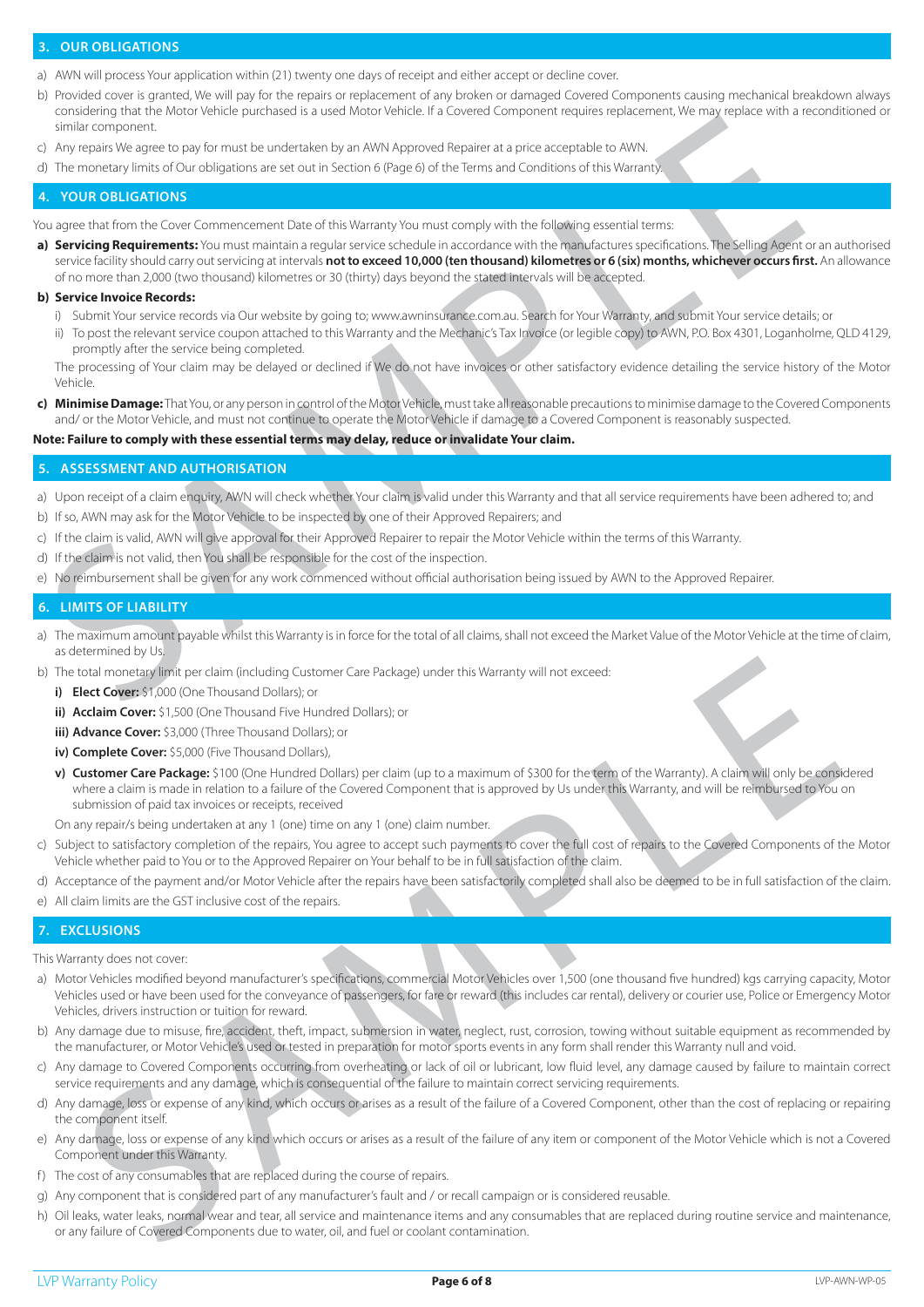#### **3. OUR OBLIGATIONS**

- a) AWN will process Your application within (21) twenty one days of receipt and either accept or decline cover.
- b) Provided cover is granted, We will pay for the repairs or replacement of any broken or damaged Covered Components causing mechanical breakdown always considering that the Motor Vehicle purchased is a used Motor Vehicle. If a Covered Component requires replacement, We may replace with a reconditioned or similar component.
- c) Any repairs We agree to pay for must be undertaken by an AWN Approved Repairer at a price acceptable to AWN.
- d) The monetary limits of Our obligations are set out in Section 6 (Page 6) of the Terms and Conditions of this Warranty.

## **4. YOUR OBLIGATIONS**

You agree that from the Cover Commencement Date of this Warranty You must comply with the following essential terms:

comiat component<br>
Share may be presented by an With Applied Register of a price acceptable to Ministry in the Company of the Tam<br>
Share model with the Commencement Date of this Watarrily You must consider a price acceptabl **a) Servicing Requirements:** You must maintain a regular service schedule in accordance with the manufactures specifications. The Selling Agent or an authorised service facility should carry out servicing at intervals **not to exceed 10,000 (ten thousand) kilometres or 6 (six) months, whichever occurs first.** An allowance of no more than 2,000 (two thousand) kilometres or 30 (thirty) days beyond the stated intervals will be accepted.

#### **b) Service Invoice Records:**

- i) Submit Your service records via Our website by going to; www.awninsurance.com.au. Search for Your Warranty, and submit Your service details; or
- ii) To post the relevant service coupon attached to this Warranty and the Mechanic's Tax Invoice (or legible copy) to AWN, P.O. Box 4301, Loganholme, QLD 4129, promptly after the service being completed.

The processing of Your claim may be delayed or declined if We do not have invoices or other satisfactory evidence detailing the service history of the Motor Vehicle.

**c) Minimise Damage:** That You, or any person in control of the Motor Vehicle, must take all reasonable precautions to minimise damage to the Covered Components and/ or the Motor Vehicle, and must not continue to operate the Motor Vehicle if damage to a Covered Component is reasonably suspected.

#### **Note: Failure to comply with these essential terms may delay, reduce or invalidate Your claim.**

### **5. ASSESSMENT AND AUTHORISATION**

- a) Upon receipt of a claim enquiry, AWN will check whether Your claim is valid under this Warranty and that all service requirements have been adhered to; and
- b) If so, AWN may ask for the Motor Vehicle to be inspected by one of their Approved Repairers; and
- c) If the claim is valid, AWN will give approval for their Approved Repairer to repair the Motor Vehicle within the terms of this Warranty.
- d) If the claim is not valid, then You shall be responsible for the cost of the inspection.
- e) No reimbursement shall be given for any work commenced without official authorisation being issued by AWN to the Approved Repairer.

# **6. LIMITS OF LIABILITY**

- a) The maximum amount payable whilst this Warranty is in force for the total of all claims, shall not exceed the Market Value of the Motor Vehicle at the time of claim, as determined by Us.
- b) The total monetary limit per claim (including Customer Care Package) under this Warranty will not exceed:
	- **i) Elect Cover:** \$1,000 (One Thousand Dollars); or
	- **ii) Acclaim Cover:** \$1,500 (One Thousand Five Hundred Dollars); or
	- **iii) Advance Cover:** \$3,000 (Three Thousand Dollars); or
	- **iv) Complete Cover:** \$5,000 (Five Thousand Dollars),
- Example of the perchan (including Customer Care Package) under this Warrany will not exceed.<br>The income of 1500 Give Thousand Dollary), or<br>**Identify Converse Care Thousand Dollary)**, or<br>**Identify Converse Care Thousand Dol v) Customer Care Package:** \$100 (One Hundred Dollars) per claim (up to a maximum of \$300 for the term of the Warranty). A claim will only be considered where a claim is made in relation to a failure of the Covered Component that is approved by Us under this Warranty, and will be reimbursed to You on submission of paid tax invoices or receipts, received

On any repair/s being undertaken at any 1 (one) time on any 1 (one) claim number.

- c) Subject to satisfactory completion of the repairs, You agree to accept such payments to cover the full cost of repairs to the Covered Components of the Motor Vehicle whether paid to You or to the Approved Repairer on Your behalf to be in full satisfaction of the claim.
- d) Acceptance of the payment and/or Motor Vehicle after the repairs have been satisfactorily completed shall also be deemed to be in full satisfaction of the claim.
- e) All claim limits are the GST inclusive cost of the repairs.

# **7. EXCLUSIONS**

This Warranty does not cover:

- a) Motor Vehicles modified beyond manufacturer's specifications, commercial Motor Vehicles over 1,500 (one thousand five hundred) kgs carrying capacity, Motor Vehicles used or have been used for the conveyance of passengers, for fare or reward (this includes car rental), delivery or courier use, Police or Emergency Motor Vehicles, drivers instruction or tuition for reward.
- b) Any damage due to misuse, fire, accident, theft, impact, submersion in water, neglect, rust, corrosion, towing without suitable equipment as recommended by the manufacturer, or Motor Vehicle's used or tested in preparation for motor sports events in any form shall render this Warranty null and void.
- c) Any damage to Covered Components occurring from overheating or lack of oil or lubricant, low fluid level, any damage caused by failure to maintain correct service requirements and any damage, which is consequential of the failure to maintain correct servicing requirements.
- d) Any damage, loss or expense of any kind, which occurs or arises as a result of the failure of a Covered Component, other than the cost of replacing or repairing the component itself.
- e) Any damage, loss or expense of any kind which occurs or arises as a result of the failure of any item or component of the Motor Vehicle which is not a Covered Component under this Warranty.
- f) The cost of any consumables that are replaced during the course of repairs.
- g) Any component that is considered part of any manufacturer's fault and / or recall campaign or is considered reusable.
- h) Oil leaks, water leaks, normal wear and tear, all service and maintenance items and any consumables that are replaced during routine service and maintenance, or any failure of Covered Components due to water, oil, and fuel or coolant contamination.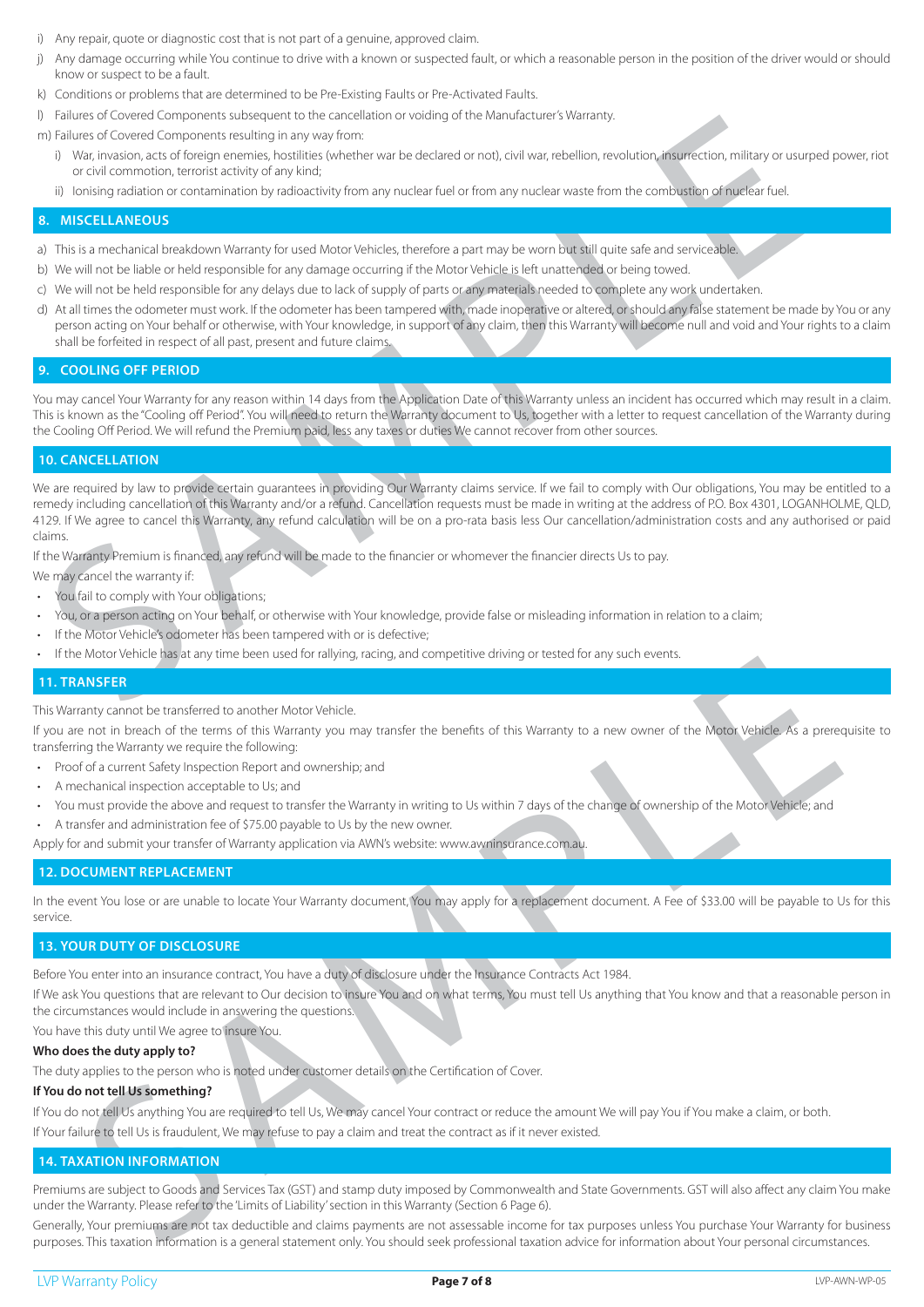- i) Any repair, quote or diagnostic cost that is not part of a genuine, approved claim.
- j) Any damage occurring while You continue to drive with a known or suspected fault, or which a reasonable person in the position of the driver would or should know or suspect to be a fault.
- k) Conditions or problems that are determined to be Pre-Existing Faults or Pre-Activated Faults.
- l) Failures of Covered Components subsequent to the cancellation or voiding of the Manufacturer's Warranty.
- m) Failures of Covered Components resulting in any way from:
	- i) War, invasion, acts of foreign enemies, hostilities (whether war be declared or not), civil war, rebellion, revolution, insurrection, military or usurped power, riot or civil commotion, terrorist activity of any kind;
	- ii) Ionising radiation or contamination by radioactivity from any nuclear fuel or from any nuclear waste from the combustion of nuclear fuel.

### **8. MISCELLANEOUS**

- a) This is a mechanical breakdown Warranty for used Motor Vehicles, therefore a part may be worn but still quite safe and serviceable.
- b) We will not be liable or held responsible for any damage occurring if the Motor Vehicle is left unattended or being towed.
- c) We will not be held responsible for any delays due to lack of supply of parts or any materials needed to complete any work undertaken.
- d) At all times the odometer must work. If the odometer has been tampered with, made inoperative or altered, or should any false statement be made by You or any person acting on Your behalf or otherwise, with Your knowledge, in support of any claim, then this Warranty will become null and void and Your rights to a claim shall be forfeited in respect of all past, present and future claims.

### **9. COOLING OFF PERIOD**

You may cancel Your Warranty for any reason within 14 days from the Application Date of this Warranty unless an incident has occurred which may result in a claim. This is known as the "Cooling off Period". You will need to return the Warranty document to Us, together with a letter to request cancellation of the Warranty during the Cooling Off Period. We will refund the Premium paid, less any taxes or duties We cannot recover from other sources.

# **10. CANCELLATION**

Figures of Covered Components sussigiant to the calmedate or twansing of the wising countery. For exact the covered in the covered of the covered component resulting to the value of the covered of the covered of the covere We are required by law to provide certain guarantees in providing Our Warranty claims service. If we fail to comply with Our obligations, You may be entitled to a remedy including cancellation of this Warranty and/or a refund. Cancellation requests must be made in writing at the address of P.O. Box 4301, LOGANHOLME, QLD, 4129. If We agree to cancel this Warranty, any refund calculation will be on a pro-rata basis less Our cancellation/administration costs and any authorised or paid claims.

If the Warranty Premium is financed, any refund will be made to the financier or whomever the financier directs Us to pay.

We may cancel the warranty if:

- You fail to comply with Your obligations;
- You, or a person acting on Your behalf, or otherwise with Your knowledge, provide false or misleading information in relation to a claim;
- If the Motor Vehicle's odometer has been tampered with or is defective;
- If the Motor Vehicle has at any time been used for rallying, racing, and competitive driving or tested for any such events.

#### **11. TRANSFER**

This Warranty cannot be transferred to another Motor Vehicle.

If you are not in breach of the terms of this Warranty you may transfer the benefits of this Warranty to a new owner of the Motor Vehicle. As a prerequisite to transferring the Warranty we require the following:

- Proof of a current Safety Inspection Report and ownership; and
- A mechanical inspection acceptable to Us; and
- You must provide the above and request to transfer the Warranty in writing to Us within 7 days of the change of ownership of the Motor Vehicle; and
- A transfer and administration fee of \$75.00 payable to Us by the new owner.

Apply for and submit your transfer of Warranty application via AWN's website: www.awninsurance.com.au.

# **12. DOCUMENT REPLACEMENT**

In the event You lose or are unable to locate Your Warranty document, You may apply for a replacement document. A Fee of \$33.00 will be payable to Us for this service.

# **13. YOUR DUTY OF DISCLOSURE**

Before You enter into an insurance contract, You have a duty of disclosure under the Insurance Contracts Act 1984.

inductive they inspired to another Motor Vehicle.<br>This particle templered to another Motor Vehicle, and completive directive flow Normany in a new evenies and specified the next temperature of the local vehicle As a presen If We ask You questions that are relevant to Our decision to insure You and on what terms, You must tell Us anything that You know and that a reasonable person in the circumstances would include in answering the questions.

You have this duty until We agree to insure You.

#### **Who does the duty apply to?**

The duty applies to the person who is noted under customer details on the Certification of Cover.

# **If You do not tell Us something?**

If You do not tell Us anything You are required to tell Us, We may cancel Your contract or reduce the amount We will pay You if You make a claim, or both. If Your failure to tell Us is fraudulent, We may refuse to pay a claim and treat the contract as if it never existed.

# **14. TAXATION INFORMATION**

Premiums are subject to Goods and Services Tax (GST) and stamp duty imposed by Commonwealth and State Governments. GST will also affect any claim You make under the Warranty. Please refer to the 'Limits of Liability' section in this Warranty (Section 6 Page 6).

Generally, Your premiums are not tax deductible and claims payments are not assessable income for tax purposes unless You purchase Your Warranty for business purposes. This taxation information is a general statement only. You should seek professional taxation advice for information about Your personal circumstances.